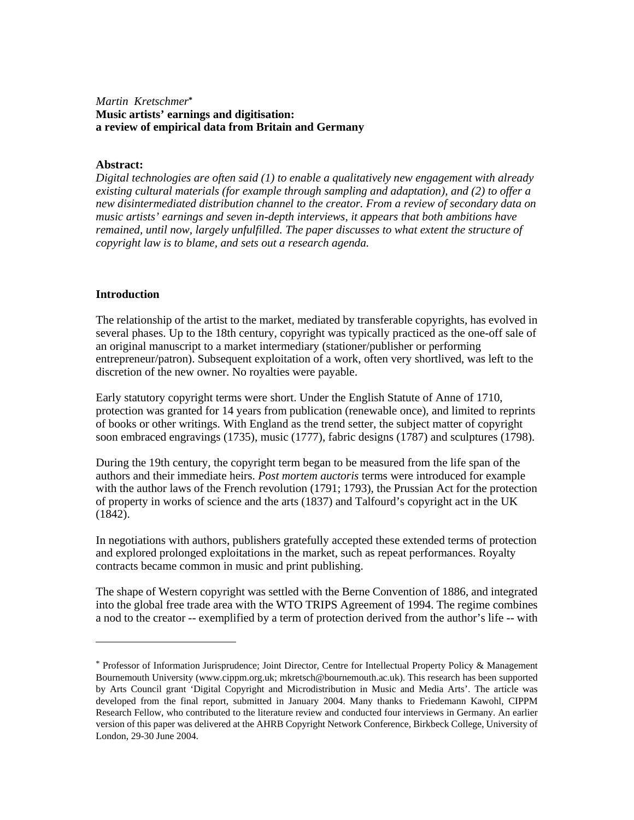## *Martin Kretschmer***\* Music artists' earnings and digitisation: a review of empirical data from Britain and Germany**

#### **Abstract:**

*Digital technologies are often said (1) to enable a qualitatively new engagement with already existing cultural materials (for example through sampling and adaptation), and (2) to offer a new disintermediated distribution channel to the creator. From a review of secondary data on music artists' earnings and seven in-depth interviews, it appears that both ambitions have remained, until now, largely unfulfilled. The paper discusses to what extent the structure of copyright law is to blame, and sets out a research agenda.* 

#### **Introduction**

 $\overline{a}$ 

The relationship of the artist to the market, mediated by transferable copyrights, has evolved in several phases. Up to the 18th century, copyright was typically practiced as the one-off sale of an original manuscript to a market intermediary (stationer/publisher or performing entrepreneur/patron). Subsequent exploitation of a work, often very shortlived, was left to the discretion of the new owner. No royalties were payable.

Early statutory copyright terms were short. Under the English Statute of Anne of 1710, protection was granted for 14 years from publication (renewable once), and limited to reprints of books or other writings. With England as the trend setter, the subject matter of copyright soon embraced engravings (1735), music (1777), fabric designs (1787) and sculptures (1798).

During the 19th century, the copyright term began to be measured from the life span of the authors and their immediate heirs. *Post mortem auctoris* terms were introduced for example with the author laws of the French revolution (1791; 1793), the Prussian Act for the protection of property in works of science and the arts (1837) and Talfourd's copyright act in the UK (1842).

In negotiations with authors, publishers gratefully accepted these extended terms of protection and explored prolonged exploitations in the market, such as repeat performances. Royalty contracts became common in music and print publishing.

The shape of Western copyright was settled with the Berne Convention of 1886, and integrated into the global free trade area with the WTO TRIPS Agreement of 1994. The regime combines a nod to the creator -- exemplified by a term of protection derived from the author's life -- with

<sup>\*</sup> Professor of Information Jurisprudence; Joint Director, Centre for Intellectual Property Policy & Management Bournemouth University (www.cippm.org.uk; mkretsch@bournemouth.ac.uk). This research has been supported by Arts Council grant 'Digital Copyright and Microdistribution in Music and Media Arts'. The article was developed from the final report, submitted in January 2004. Many thanks to Friedemann Kawohl, CIPPM Research Fellow, who contributed to the literature review and conducted four interviews in Germany. An earlier version of this paper was delivered at the AHRB Copyright Network Conference, Birkbeck College, University of London, 29-30 June 2004.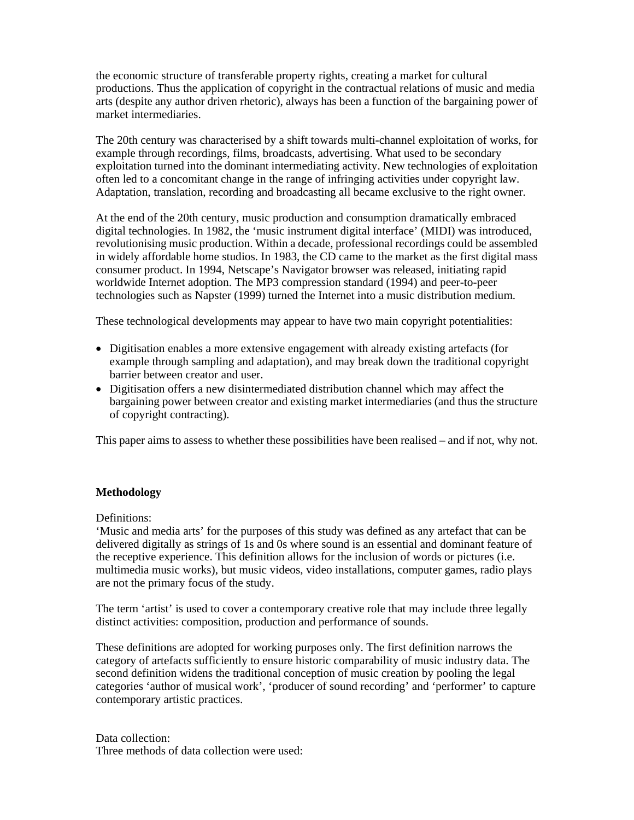the economic structure of transferable property rights, creating a market for cultural productions. Thus the application of copyright in the contractual relations of music and media arts (despite any author driven rhetoric), always has been a function of the bargaining power of market intermediaries.

The 20th century was characterised by a shift towards multi-channel exploitation of works, for example through recordings, films, broadcasts, advertising. What used to be secondary exploitation turned into the dominant intermediating activity. New technologies of exploitation often led to a concomitant change in the range of infringing activities under copyright law. Adaptation, translation, recording and broadcasting all became exclusive to the right owner.

At the end of the 20th century, music production and consumption dramatically embraced digital technologies. In 1982, the 'music instrument digital interface' (MIDI) was introduced, revolutionising music production. Within a decade, professional recordings could be assembled in widely affordable home studios. In 1983, the CD came to the market as the first digital mass consumer product. In 1994, Netscape's Navigator browser was released, initiating rapid worldwide Internet adoption. The MP3 compression standard (1994) and peer-to-peer technologies such as Napster (1999) turned the Internet into a music distribution medium.

These technological developments may appear to have two main copyright potentialities:

- Digitisation enables a more extensive engagement with already existing artefacts (for example through sampling and adaptation), and may break down the traditional copyright barrier between creator and user.
- Digitisation offers a new disintermediated distribution channel which may affect the bargaining power between creator and existing market intermediaries (and thus the structure of copyright contracting).

This paper aims to assess to whether these possibilities have been realised – and if not, why not.

## **Methodology**

Definitions:

'Music and media arts' for the purposes of this study was defined as any artefact that can be delivered digitally as strings of 1s and 0s where sound is an essential and dominant feature of the receptive experience. This definition allows for the inclusion of words or pictures (i.e. multimedia music works), but music videos, video installations, computer games, radio plays are not the primary focus of the study.

The term 'artist' is used to cover a contemporary creative role that may include three legally distinct activities: composition, production and performance of sounds.

These definitions are adopted for working purposes only. The first definition narrows the category of artefacts sufficiently to ensure historic comparability of music industry data. The second definition widens the traditional conception of music creation by pooling the legal categories 'author of musical work', 'producer of sound recording' and 'performer' to capture contemporary artistic practices.

Data collection: Three methods of data collection were used: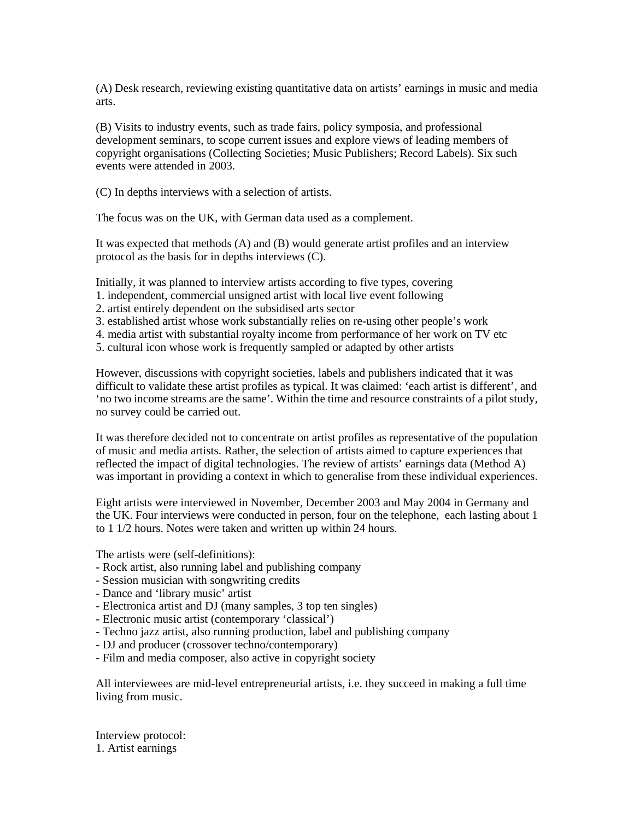(A) Desk research, reviewing existing quantitative data on artists' earnings in music and media arts.

(B) Visits to industry events, such as trade fairs, policy symposia, and professional development seminars, to scope current issues and explore views of leading members of copyright organisations (Collecting Societies; Music Publishers; Record Labels). Six such events were attended in 2003.

(C) In depths interviews with a selection of artists.

The focus was on the UK, with German data used as a complement.

It was expected that methods (A) and (B) would generate artist profiles and an interview protocol as the basis for in depths interviews (C).

Initially, it was planned to interview artists according to five types, covering

- 1. independent, commercial unsigned artist with local live event following
- 2. artist entirely dependent on the subsidised arts sector
- 3. established artist whose work substantially relies on re-using other people's work
- 4. media artist with substantial royalty income from performance of her work on TV etc
- 5. cultural icon whose work is frequently sampled or adapted by other artists

However, discussions with copyright societies, labels and publishers indicated that it was difficult to validate these artist profiles as typical. It was claimed: 'each artist is different', and 'no two income streams are the same'. Within the time and resource constraints of a pilot study, no survey could be carried out.

It was therefore decided not to concentrate on artist profiles as representative of the population of music and media artists. Rather, the selection of artists aimed to capture experiences that reflected the impact of digital technologies. The review of artists' earnings data (Method A) was important in providing a context in which to generalise from these individual experiences.

Eight artists were interviewed in November, December 2003 and May 2004 in Germany and the UK. Four interviews were conducted in person, four on the telephone, each lasting about 1 to 1 1/2 hours. Notes were taken and written up within 24 hours.

The artists were (self-definitions):

- Rock artist, also running label and publishing company
- Session musician with songwriting credits
- Dance and 'library music' artist
- Electronica artist and DJ (many samples, 3 top ten singles)
- Electronic music artist (contemporary 'classical')
- Techno jazz artist, also running production, label and publishing company
- DJ and producer (crossover techno/contemporary)
- Film and media composer, also active in copyright society

All interviewees are mid-level entrepreneurial artists, i.e. they succeed in making a full time living from music.

Interview protocol: 1. Artist earnings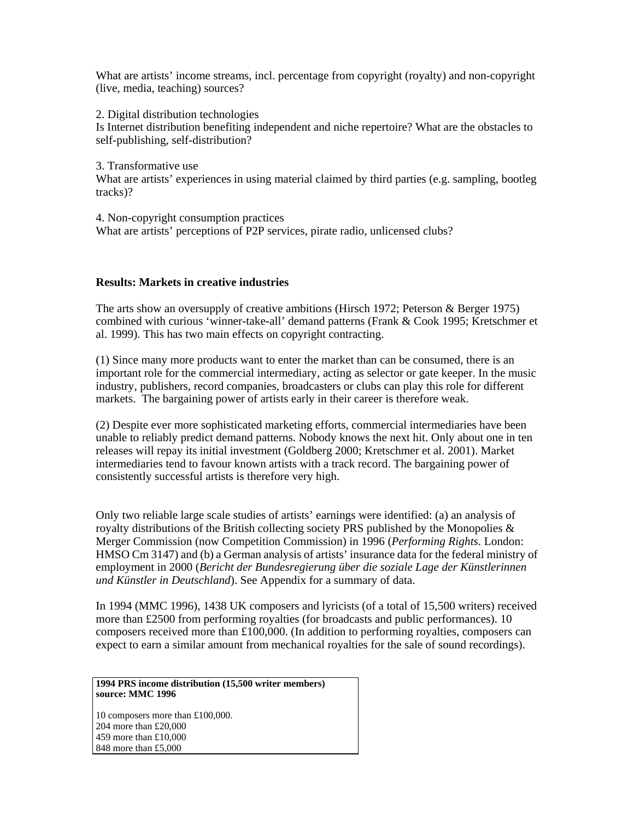What are artists' income streams, incl. percentage from copyright (royalty) and non-copyright (live, media, teaching) sources?

2. Digital distribution technologies

Is Internet distribution benefiting independent and niche repertoire? What are the obstacles to self-publishing, self-distribution?

3. Transformative use

What are artists' experiences in using material claimed by third parties (e.g. sampling, bootleg tracks)?

4. Non-copyright consumption practices What are artists' perceptions of P2P services, pirate radio, unlicensed clubs?

## **Results: Markets in creative industries**

The arts show an oversupply of creative ambitions (Hirsch 1972; Peterson & Berger 1975) combined with curious 'winner-take-all' demand patterns (Frank & Cook 1995; Kretschmer et al. 1999). This has two main effects on copyright contracting.

(1) Since many more products want to enter the market than can be consumed, there is an important role for the commercial intermediary, acting as selector or gate keeper. In the music industry, publishers, record companies, broadcasters or clubs can play this role for different markets. The bargaining power of artists early in their career is therefore weak.

(2) Despite ever more sophisticated marketing efforts, commercial intermediaries have been unable to reliably predict demand patterns. Nobody knows the next hit. Only about one in ten releases will repay its initial investment (Goldberg 2000; Kretschmer et al. 2001). Market intermediaries tend to favour known artists with a track record. The bargaining power of consistently successful artists is therefore very high.

Only two reliable large scale studies of artists' earnings were identified: (a) an analysis of royalty distributions of the British collecting society PRS published by the Monopolies  $\&$ Merger Commission (now Competition Commission) in 1996 (*Performing Rights*. London: HMSO Cm 3147) and (b) a German analysis of artists' insurance data for the federal ministry of employment in 2000 (*Bericht der Bundesregierung über die soziale Lage der Künstlerinnen und Künstler in Deutschland*). See Appendix for a summary of data.

In 1994 (MMC 1996), 1438 UK composers and lyricists (of a total of 15,500 writers) received more than £2500 from performing royalties (for broadcasts and public performances). 10 composers received more than £100,000. (In addition to performing royalties, composers can expect to earn a similar amount from mechanical royalties for the sale of sound recordings).

**1994 PRS income distribution (15,500 writer members) source: MMC 1996**

10 composers more than £100,000. 204 more than £20,000 459 more than £10,000 848 more than £5,000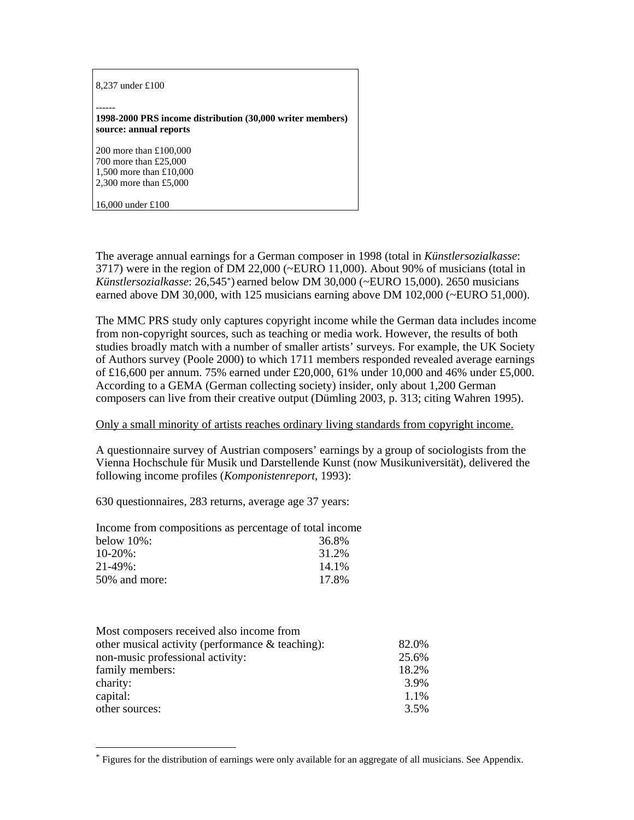# 8,237 under £100 ------ **1998-2000 PRS income distribution (30,000 writer members) source: annual reports** 200 more than £100,000 700 more than £25,000 1,500 more than £10,000 2,300 more than £5,000 16,000 under £100

The average annual earnings for a German composer in 1998 (total in *Künstlersozialkasse*: 3717) were in the region of DM 22,000 (~EURO 11,000). About 90% of musicians (total in *Künstlersozialkasse*: 26,545\*) earned below DM 30,000 (~EURO 15,000). 2650 musicians earned above DM 30,000, with 125 musicians earning above DM 102,000 (~EURO 51,000).

The MMC PRS study only captures copyright income while the German data includes income from non-copyright sources, such as teaching or media work. However, the results of both studies broadly match with a number of smaller artists' surveys. For example, the UK Society of Authors survey (Poole 2000) to which 1711 members responded revealed average earnings of £16,600 per annum. 75% earned under £20,000, 61% under 10,000 and 46% under £5,000. According to a GEMA (German collecting society) insider, only about 1,200 German composers can live from their creative output (Dümling 2003, p. 313; citing Wahren 1995).

#### Only a small minority of artists reaches ordinary living standards from copyright income.

A questionnaire survey of Austrian composers' earnings by a group of sociologists from the Vienna Hochschule für Musik und Darstellende Kunst (now Musikuniversität), delivered the following income profiles (*Komponistenreport*, 1993):

630 questionnaires, 283 returns, average age 37 years:

| Income from compositions as percentage of total income |       |
|--------------------------------------------------------|-------|
| below $10\%$ :                                         | 36.8% |
| $10-20\%$ :                                            | 31.2% |
| $21 - 49\%$ :                                          | 14.1% |
| 50% and more:                                          | 17.8% |

 $\overline{a}$ 

| Most composers received also income from            |       |
|-----------------------------------------------------|-------|
| other musical activity (performance $\&$ teaching): | 82.0% |
| non-music professional activity:                    | 25.6% |
| family members:                                     | 18.2% |
| charity:                                            | 3.9%  |
| capital:                                            | 1.1%  |
| other sources:                                      | 3.5%  |

<sup>\*</sup> Figures for the distribution of earnings were only available for an aggregate of all musicians. See Appendix.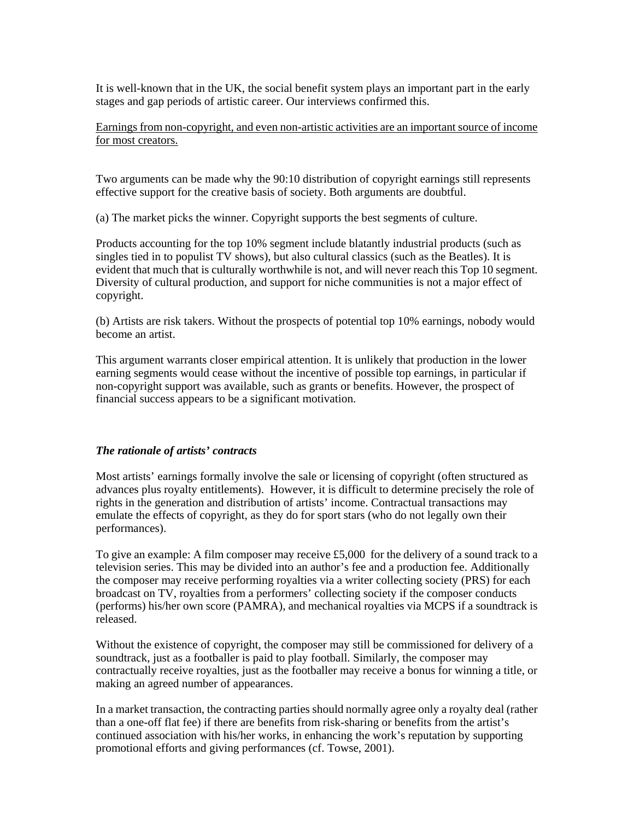It is well-known that in the UK, the social benefit system plays an important part in the early stages and gap periods of artistic career. Our interviews confirmed this.

Earnings from non-copyright, and even non-artistic activities are an important source of income for most creators.

Two arguments can be made why the 90:10 distribution of copyright earnings still represents effective support for the creative basis of society. Both arguments are doubtful.

(a) The market picks the winner. Copyright supports the best segments of culture.

Products accounting for the top 10% segment include blatantly industrial products (such as singles tied in to populist TV shows), but also cultural classics (such as the Beatles). It is evident that much that is culturally worthwhile is not, and will never reach this Top 10 segment. Diversity of cultural production, and support for niche communities is not a major effect of copyright.

(b) Artists are risk takers. Without the prospects of potential top 10% earnings, nobody would become an artist.

This argument warrants closer empirical attention. It is unlikely that production in the lower earning segments would cease without the incentive of possible top earnings, in particular if non-copyright support was available, such as grants or benefits. However, the prospect of financial success appears to be a significant motivation.

#### *The rationale of artists' contracts*

Most artists' earnings formally involve the sale or licensing of copyright (often structured as advances plus royalty entitlements). However, it is difficult to determine precisely the role of rights in the generation and distribution of artists' income. Contractual transactions may emulate the effects of copyright, as they do for sport stars (who do not legally own their performances).

To give an example: A film composer may receive £5,000 for the delivery of a sound track to a television series. This may be divided into an author's fee and a production fee. Additionally the composer may receive performing royalties via a writer collecting society (PRS) for each broadcast on TV, royalties from a performers' collecting society if the composer conducts (performs) his/her own score (PAMRA), and mechanical royalties via MCPS if a soundtrack is released.

Without the existence of copyright, the composer may still be commissioned for delivery of a soundtrack, just as a footballer is paid to play football. Similarly, the composer may contractually receive royalties, just as the footballer may receive a bonus for winning a title, or making an agreed number of appearances.

In a market transaction, the contracting parties should normally agree only a royalty deal (rather than a one-off flat fee) if there are benefits from risk-sharing or benefits from the artist's continued association with his/her works, in enhancing the work's reputation by supporting promotional efforts and giving performances (cf. Towse, 2001).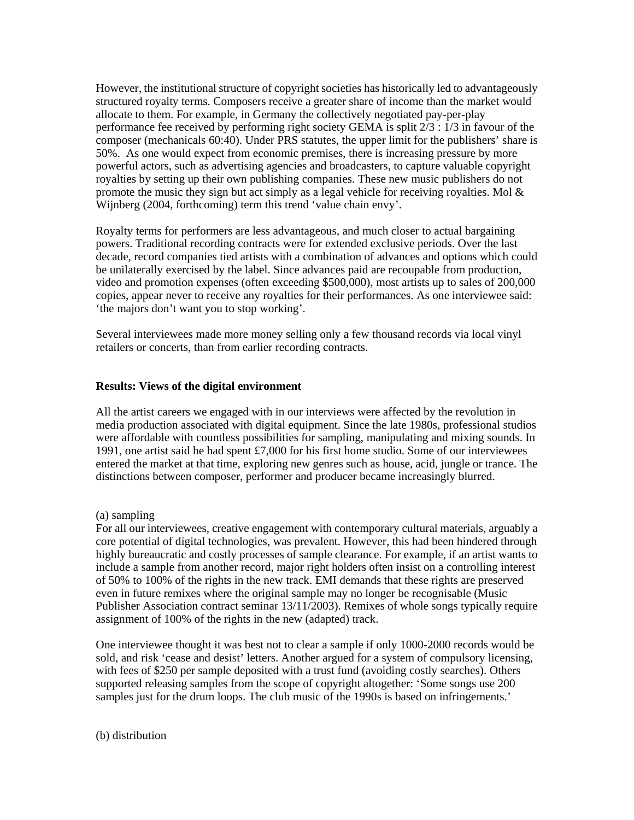However, the institutional structure of copyright societies has historically led to advantageously structured royalty terms. Composers receive a greater share of income than the market would allocate to them. For example, in Germany the collectively negotiated pay-per-play performance fee received by performing right society GEMA is split 2/3 : 1/3 in favour of the composer (mechanicals 60:40). Under PRS statutes, the upper limit for the publishers' share is 50%. As one would expect from economic premises, there is increasing pressure by more powerful actors, such as advertising agencies and broadcasters, to capture valuable copyright royalties by setting up their own publishing companies. These new music publishers do not promote the music they sign but act simply as a legal vehicle for receiving royalties. Mol  $\&$ Wijnberg (2004, forthcoming) term this trend 'value chain envy'.

Royalty terms for performers are less advantageous, and much closer to actual bargaining powers. Traditional recording contracts were for extended exclusive periods. Over the last decade, record companies tied artists with a combination of advances and options which could be unilaterally exercised by the label. Since advances paid are recoupable from production, video and promotion expenses (often exceeding \$500,000), most artists up to sales of 200,000 copies, appear never to receive any royalties for their performances. As one interviewee said: 'the majors don't want you to stop working'.

Several interviewees made more money selling only a few thousand records via local vinyl retailers or concerts, than from earlier recording contracts.

#### **Results: Views of the digital environment**

All the artist careers we engaged with in our interviews were affected by the revolution in media production associated with digital equipment. Since the late 1980s, professional studios were affordable with countless possibilities for sampling, manipulating and mixing sounds. In 1991, one artist said he had spent £7,000 for his first home studio. Some of our interviewees entered the market at that time, exploring new genres such as house, acid, jungle or trance. The distinctions between composer, performer and producer became increasingly blurred.

(a) sampling

For all our interviewees, creative engagement with contemporary cultural materials, arguably a core potential of digital technologies, was prevalent. However, this had been hindered through highly bureaucratic and costly processes of sample clearance. For example, if an artist wants to include a sample from another record, major right holders often insist on a controlling interest of 50% to 100% of the rights in the new track. EMI demands that these rights are preserved even in future remixes where the original sample may no longer be recognisable (Music Publisher Association contract seminar 13/11/2003). Remixes of whole songs typically require assignment of 100% of the rights in the new (adapted) track.

One interviewee thought it was best not to clear a sample if only 1000-2000 records would be sold, and risk 'cease and desist' letters. Another argued for a system of compulsory licensing, with fees of \$250 per sample deposited with a trust fund (avoiding costly searches). Others supported releasing samples from the scope of copyright altogether: 'Some songs use 200 samples just for the drum loops. The club music of the 1990s is based on infringements.'

(b) distribution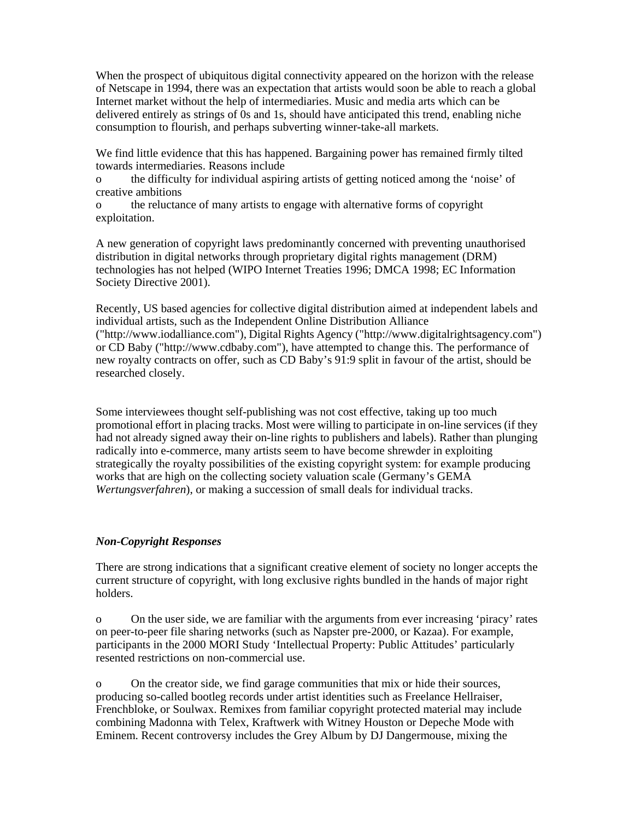When the prospect of ubiquitous digital connectivity appeared on the horizon with the release of Netscape in 1994, there was an expectation that artists would soon be able to reach a global Internet market without the help of intermediaries. Music and media arts which can be delivered entirely as strings of 0s and 1s, should have anticipated this trend, enabling niche consumption to flourish, and perhaps subverting winner-take-all markets.

We find little evidence that this has happened. Bargaining power has remained firmly tilted towards intermediaries. Reasons include

o the difficulty for individual aspiring artists of getting noticed among the 'noise' of creative ambitions

o the reluctance of many artists to engage with alternative forms of copyright exploitation.

A new generation of copyright laws predominantly concerned with preventing unauthorised distribution in digital networks through proprietary digital rights management (DRM) technologies has not helped (WIPO Internet Treaties 1996; DMCA 1998; EC Information Society Directive 2001).

Recently, US based agencies for collective digital distribution aimed at independent labels and individual artists, such as the Independent Online Distribution Alliance ("http://www.iodalliance.com"), Digital Rights Agency ("http://www.digitalrightsagency.com") or CD Baby ("http://www.cdbaby.com"), have attempted to change this. The performance of new royalty contracts on offer, such as CD Baby's 91:9 split in favour of the artist, should be researched closely.

Some interviewees thought self-publishing was not cost effective, taking up too much promotional effort in placing tracks. Most were willing to participate in on-line services (if they had not already signed away their on-line rights to publishers and labels). Rather than plunging radically into e-commerce, many artists seem to have become shrewder in exploiting strategically the royalty possibilities of the existing copyright system: for example producing works that are high on the collecting society valuation scale (Germany's GEMA *Wertungsverfahren*), or making a succession of small deals for individual tracks.

## *Non-Copyright Responses*

There are strong indications that a significant creative element of society no longer accepts the current structure of copyright, with long exclusive rights bundled in the hands of major right holders.

o On the user side, we are familiar with the arguments from ever increasing 'piracy' rates on peer-to-peer file sharing networks (such as Napster pre-2000, or Kazaa). For example, participants in the 2000 MORI Study 'Intellectual Property: Public Attitudes' particularly resented restrictions on non-commercial use.

o On the creator side, we find garage communities that mix or hide their sources, producing so-called bootleg records under artist identities such as Freelance Hellraiser, Frenchbloke, or Soulwax. Remixes from familiar copyright protected material may include combining Madonna with Telex, Kraftwerk with Witney Houston or Depeche Mode with Eminem. Recent controversy includes the Grey Album by DJ Dangermouse, mixing the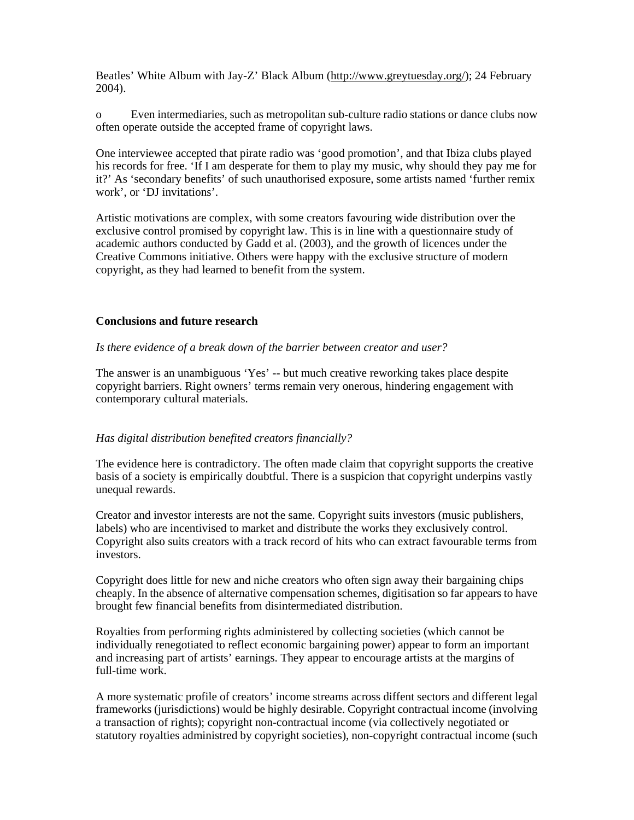Beatles' White Album with Jay-Z' Black Album (http://www.greytuesday.org/); 24 February 2004).

o Even intermediaries, such as metropolitan sub-culture radio stations or dance clubs now often operate outside the accepted frame of copyright laws.

One interviewee accepted that pirate radio was 'good promotion', and that Ibiza clubs played his records for free. 'If I am desperate for them to play my music, why should they pay me for it?' As 'secondary benefits' of such unauthorised exposure, some artists named 'further remix work', or 'DJ invitations'.

Artistic motivations are complex, with some creators favouring wide distribution over the exclusive control promised by copyright law. This is in line with a questionnaire study of academic authors conducted by Gadd et al. (2003), and the growth of licences under the Creative Commons initiative. Others were happy with the exclusive structure of modern copyright, as they had learned to benefit from the system.

#### **Conclusions and future research**

*Is there evidence of a break down of the barrier between creator and user?* 

The answer is an unambiguous 'Yes' -- but much creative reworking takes place despite copyright barriers. Right owners' terms remain very onerous, hindering engagement with contemporary cultural materials.

## *Has digital distribution benefited creators financially?*

The evidence here is contradictory. The often made claim that copyright supports the creative basis of a society is empirically doubtful. There is a suspicion that copyright underpins vastly unequal rewards.

Creator and investor interests are not the same. Copyright suits investors (music publishers, labels) who are incentivised to market and distribute the works they exclusively control. Copyright also suits creators with a track record of hits who can extract favourable terms from investors.

Copyright does little for new and niche creators who often sign away their bargaining chips cheaply. In the absence of alternative compensation schemes, digitisation so far appears to have brought few financial benefits from disintermediated distribution.

Royalties from performing rights administered by collecting societies (which cannot be individually renegotiated to reflect economic bargaining power) appear to form an important and increasing part of artists' earnings. They appear to encourage artists at the margins of full-time work.

A more systematic profile of creators' income streams across diffent sectors and different legal frameworks (jurisdictions) would be highly desirable. Copyright contractual income (involving a transaction of rights); copyright non-contractual income (via collectively negotiated or statutory royalties administred by copyright societies), non-copyright contractual income (such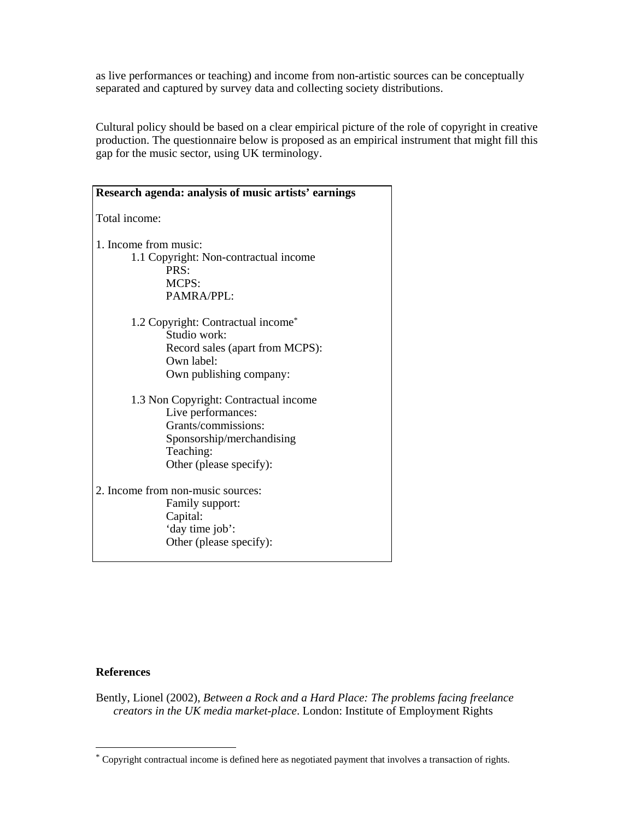as live performances or teaching) and income from non-artistic sources can be conceptually separated and captured by survey data and collecting society distributions.

Cultural policy should be based on a clear empirical picture of the role of copyright in creative production. The questionnaire below is proposed as an empirical instrument that might fill this gap for the music sector, using UK terminology.

| Research agenda: analysis of music artists' earnings                                                                                                    |
|---------------------------------------------------------------------------------------------------------------------------------------------------------|
| Total income:                                                                                                                                           |
| 1. Income from music:<br>1.1 Copyright: Non-contractual income<br>PRS:<br>MCPS:<br>PAMRA/PPL:                                                           |
| 1.2 Copyright: Contractual income*<br>Studio work:<br>Record sales (apart from MCPS):<br>Own label:<br>Own publishing company:                          |
| 1.3 Non Copyright: Contractual income<br>Live performances:<br>Grants/commissions:<br>Sponsorship/merchandising<br>Teaching:<br>Other (please specify): |
| 2. Income from non-music sources:<br>Family support:<br>Capital:<br>'day time job':<br>Other (please specify):                                          |

## **References**

 $\overline{a}$ 

Bently, Lionel (2002), *Between a Rock and a Hard Place: The problems facing freelance creators in the UK media market-place*. London: Institute of Employment Rights

<sup>\*</sup> Copyright contractual income is defined here as negotiated payment that involves a transaction of rights.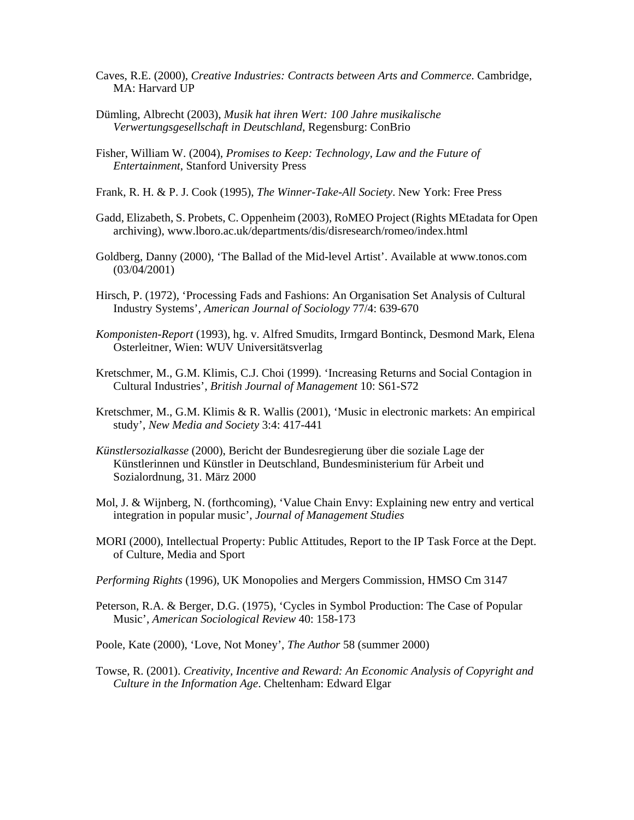- Caves, R.E. (2000), *Creative Industries: Contracts between Arts and Commerce*. Cambridge, MA: Harvard UP
- Dümling, Albrecht (2003), *Musik hat ihren Wert: 100 Jahre musikalische Verwertungsgesellschaft in Deutschland*, Regensburg: ConBrio
- Fisher, William W. (2004), *Promises to Keep: Technology, Law and the Future of Entertainment*, Stanford University Press
- Frank, R. H. & P. J. Cook (1995), *The Winner-Take-All Society*. New York: Free Press
- Gadd, Elizabeth, S. Probets, C. Oppenheim (2003), RoMEO Project (Rights MEtadata for Open archiving), www.lboro.ac.uk/departments/dis/disresearch/romeo/index.html
- Goldberg, Danny (2000), 'The Ballad of the Mid-level Artist'. Available at www.tonos.com (03/04/2001)
- Hirsch, P. (1972), 'Processing Fads and Fashions: An Organisation Set Analysis of Cultural Industry Systems', *American Journal of Sociology* 77/4: 639-670
- *Komponisten-Report* (1993), hg. v. Alfred Smudits, Irmgard Bontinck, Desmond Mark, Elena Osterleitner, Wien: WUV Universitätsverlag
- Kretschmer, M., G.M. Klimis, C.J. Choi (1999). 'Increasing Returns and Social Contagion in Cultural Industries', *British Journal of Management* 10: S61-S72
- Kretschmer, M., G.M. Klimis & R. Wallis (2001), 'Music in electronic markets: An empirical study', *New Media and Society* 3:4: 417-441
- *Künstlersozialkasse* (2000), Bericht der Bundesregierung über die soziale Lage der Künstlerinnen und Künstler in Deutschland, Bundesministerium für Arbeit und Sozialordnung, 31. März 2000
- Mol, J. & Wijnberg, N. (forthcoming), 'Value Chain Envy: Explaining new entry and vertical integration in popular music', *Journal of Management Studies*
- MORI (2000), Intellectual Property: Public Attitudes, Report to the IP Task Force at the Dept. of Culture, Media and Sport
- *Performing Rights* (1996), UK Monopolies and Mergers Commission, HMSO Cm 3147
- Peterson, R.A. & Berger, D.G. (1975), 'Cycles in Symbol Production: The Case of Popular Music', *American Sociological Review* 40: 158-173
- Poole, Kate (2000), 'Love, Not Money', *The Author* 58 (summer 2000)
- Towse, R. (2001). *Creativity, Incentive and Reward: An Economic Analysis of Copyright and Culture in the Information Age*. Cheltenham: Edward Elgar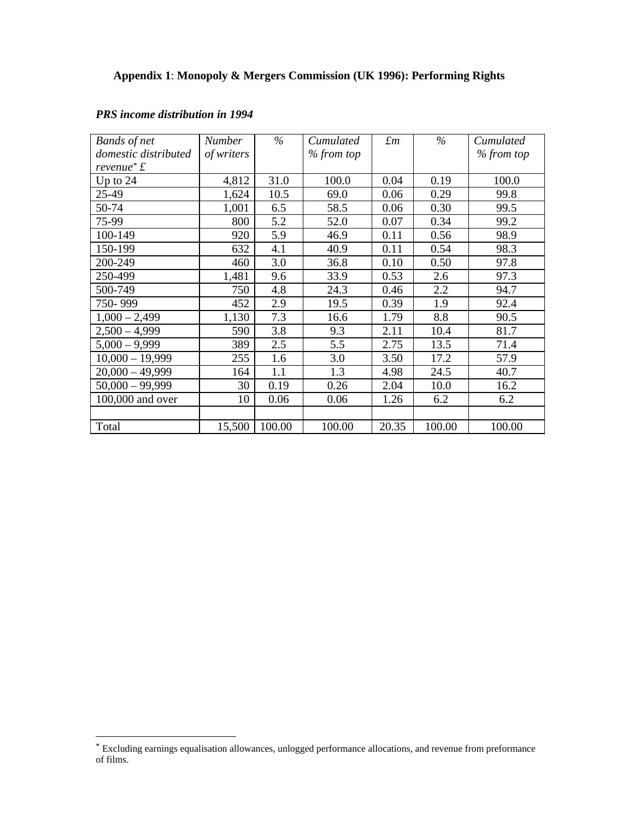| <b>Bands</b> of net            | <b>Number</b> | $\%$   | Cumulated  | $\pounds$ m | $\%$   | Cumulated  |
|--------------------------------|---------------|--------|------------|-------------|--------|------------|
| domestic distributed           | of writers    |        | % from top |             |        | % from top |
| revenue <sup>*</sup> $\pounds$ |               |        |            |             |        |            |
| Up to $24$                     | 4,812         | 31.0   | 100.0      | 0.04        | 0.19   | 100.0      |
| 25-49                          | 1,624         | 10.5   | 69.0       | 0.06        | 0.29   | 99.8       |
| 50-74                          | 1,001         | 6.5    | 58.5       | 0.06        | 0.30   | 99.5       |
| 75-99                          | 800           | 5.2    | 52.0       | 0.07        | 0.34   | 99.2       |
| 100-149                        | 920           | 5.9    | 46.9       | 0.11        | 0.56   | 98.9       |
| 150-199                        | 632           | 4.1    | 40.9       | 0.11        | 0.54   | 98.3       |
| 200-249                        | 460           | 3.0    | 36.8       | 0.10        | 0.50   | 97.8       |
| 250-499                        | 1,481         | 9.6    | 33.9       | 0.53        | 2.6    | 97.3       |
| 500-749                        | 750           | 4.8    | 24.3       | 0.46        | 2.2    | 94.7       |
| 750-999                        | 452           | 2.9    | 19.5       | 0.39        | 1.9    | 92.4       |
| $1,000 - 2,499$                | 1,130         | 7.3    | 16.6       | 1.79        | 8.8    | 90.5       |
| $2,500 - 4,999$                | 590           | 3.8    | 9.3        | 2.11        | 10.4   | 81.7       |
| $5,000 - 9,999$                | 389           | 2.5    | 5.5        | 2.75        | 13.5   | 71.4       |
| $10,000 - 19,999$              | 255           | 1.6    | 3.0        | 3.50        | 17.2   | 57.9       |
| $20,000 - 49,999$              | 164           | 1.1    | 1.3        | 4.98        | 24.5   | 40.7       |
| $50,000 - 99,999$              | 30            | 0.19   | 0.26       | 2.04        | 10.0   | 16.2       |
| 100,000 and over               | 10            | 0.06   | 0.06       | 1.26        | 6.2    | 6.2        |
|                                |               |        |            |             |        |            |
| Total                          | 15,500        | 100.00 | 100.00     | 20.35       | 100.00 | 100.00     |

## *PRS income distribution in 1994*

l

<sup>\*</sup> Excluding earnings equalisation allowances, unlogged performance allocations, and revenue from preformance of films.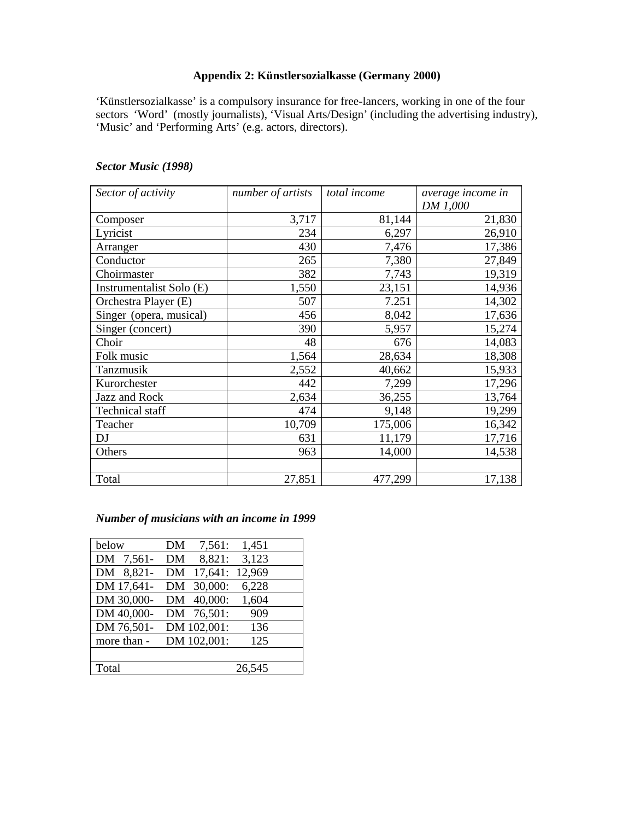## **Appendix 2: Künstlersozialkasse (Germany 2000)**

'Künstlersozialkasse' is a compulsory insurance for free-lancers, working in one of the four sectors 'Word' (mostly journalists), 'Visual Arts/Design' (including the advertising industry), 'Music' and 'Performing Arts' (e.g. actors, directors).

# *Sector Music (1998)*

| Sector of activity       | number of artists | total income | average income in |
|--------------------------|-------------------|--------------|-------------------|
|                          |                   |              | DM 1,000          |
| Composer                 | 3,717             | 81,144       | 21,830            |
| Lyricist                 | 234               | 6,297        | 26,910            |
| Arranger                 | 430               | 7,476        | 17,386            |
| Conductor                | 265               | 7,380        | 27,849            |
| Choirmaster              | 382               | 7,743        | 19,319            |
| Instrumentalist Solo (E) | 1,550             | 23,151       | 14,936            |
| Orchestra Player (E)     | 507               | 7.251        | 14,302            |
| Singer (opera, musical)  | 456               | 8,042        | 17,636            |
| Singer (concert)         | 390               | 5,957        | 15,274            |
| Choir                    | 48                | 676          | 14,083            |
| Folk music               | 1,564             | 28,634       | 18,308            |
| Tanzmusik                | 2,552             | 40,662       | 15,933            |
| Kurorchester             | 442               | 7,299        | 17,296            |
| Jazz and Rock            | 2,634             | 36,255       | 13,764            |
| Technical staff          | 474               | 9,148        | 19,299            |
| Teacher                  | 10,709            | 175,006      | 16,342            |
| DJ                       | 631               | 11,179       | 17,716            |
| Others                   | 963               | 14,000       | 14,538            |
|                          |                   |              |                   |
| Total                    | 27,851            | 477,299      | 17,138            |

## *Number of musicians with an income in 1999*

| below       | 7,561:<br>DΜ  | 1,451  |
|-------------|---------------|--------|
| DM 7,561-   | 8,821:<br>DM  | 3,123  |
| DM 8,821-   | 17,641:<br>DM | 12,969 |
| DM 17,641-  | 30,000:<br>DM | 6,228  |
| DM 30,000-  | 40,000:<br>DM | 1,604  |
| DM 40,000-  | DM 76,501:    | 909    |
| DM 76,501-  | DM 102,001:   | 136    |
| more than - | DM 102,001:   | 125    |
|             |               |        |
| Total       |               | 26,545 |